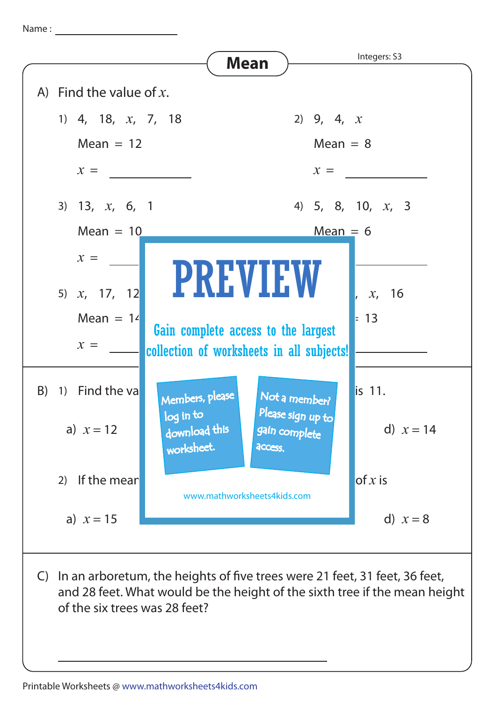Name :